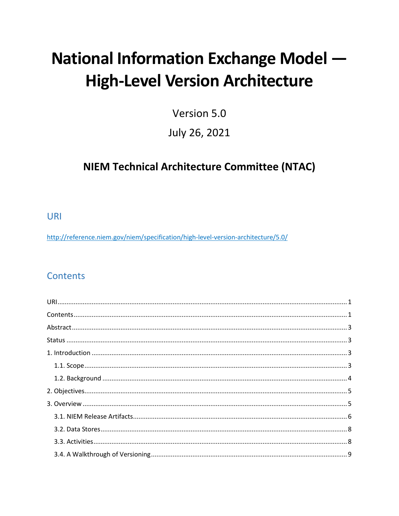# **National Information Exchange Model -High-Level Version Architecture**

Version 5.0

## July 26, 2021

## **NIEM Technical Architecture Committee (NTAC)**

<span id="page-0-0"></span>**URI** 

http://reference.niem.gov/niem/specification/high-level-version-architecture/5.0/

## <span id="page-0-1"></span>**Contents**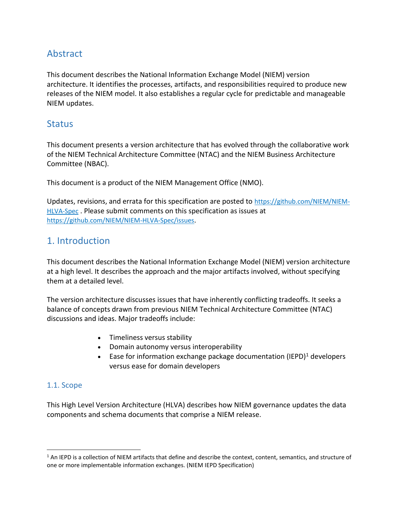## <span id="page-2-0"></span>**Abstract**

This document describes the National Information Exchange Model (NIEM) version architecture. It identifies the processes, artifacts, and responsibilities required to produce new releases of the NIEM model. It also establishes a regular cycle for predictable and manageable NIEM updates.

## <span id="page-2-1"></span>**Status**

This document presents a version architecture that has evolved through the collaborative work of the NIEM Technical Architecture Committee (NTAC) and the NIEM Business Architecture Committee (NBAC).

This document is a product of the NIEM Management Office (NMO).

Updates, revisions, and errata for this specification are posted to [https://github.com/NIEM/NIEM-](https://github.com/NIEM/NIEM-HLVA-Spec)[HLVA-Spec](https://github.com/NIEM/NIEM-HLVA-Spec) . Please submit comments on this specification as issues at <https://github.com/NIEM/NIEM-HLVA-Spec/issues>.

## <span id="page-2-2"></span>1. Introduction

This document describes the National Information Exchange Model (NIEM) version architecture at a high level. It describes the approach and the major artifacts involved, without specifying them at a detailed level.

The version architecture discusses issues that have inherently conflicting tradeoffs. It seeks a balance of concepts drawn from previous NIEM Technical Architecture Committee (NTAC) discussions and ideas. Major tradeoffs include:

- Timeliness versus stability
- Domain autonomy versus interoperability
- Ease for information exchange package documentation (IEPD)<sup>1</sup> developers versus ease for domain developers

## <span id="page-2-3"></span>1.1. Scope

 $\overline{\phantom{a}}$ 

This High Level Version Architecture (HLVA) describes how NIEM governance updates the data components and schema documents that comprise a NIEM release.

 $1$  An IEPD is a collection of NIEM artifacts that define and describe the context, content, semantics, and structure of one or more implementable information exchanges. (NIEM IEPD Specification)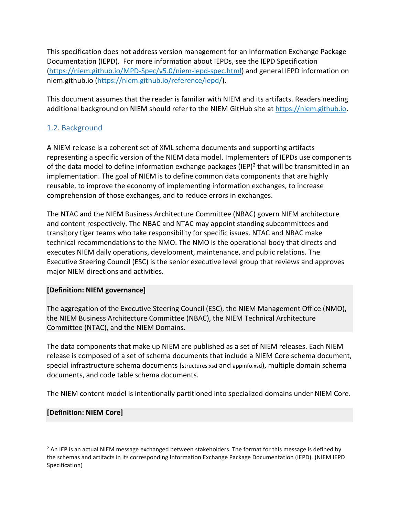This specification does not address version management for an Information Exchange Package Documentation (IEPD). For more information about IEPDs, see the IEPD Specification [\(https://niem.github.io/MPD-Spec/v5.0/niem-iepd-spec.html\)](https://niem.github.io/MPD-Spec/v5.0/niem-iepd-spec.html) and general IEPD information on niem.github.io [\(https://niem.github.io/reference/iepd/\)](https://niem.github.io/reference/iepd/).

This document assumes that the reader is familiar with NIEM and its artifacts. Readers needing additional background on NIEM should refer to the NIEM GitHub site at https://niem.github.io.

## <span id="page-3-0"></span>1.2. Background

A NIEM release is a coherent set of XML schema documents and supporting artifacts representing a specific version of the NIEM data model. Implementers of IEPDs use components of the data model to define information exchange packages (IEP)<sup>2</sup> that will be transmitted in an implementation. The goal of NIEM is to define common data components that are highly reusable, to improve the economy of implementing information exchanges, to increase comprehension of those exchanges, and to reduce errors in exchanges.

The NTAC and the NIEM Business Architecture Committee (NBAC) govern NIEM architecture and content respectively. The NBAC and NTAC may appoint standing subcommittees and transitory tiger teams who take responsibility for specific issues. NTAC and NBAC make technical recommendations to the NMO. The NMO is the operational body that directs and executes NIEM daily operations, development, maintenance, and public relations. The Executive Steering Council (ESC) is the senior executive level group that reviews and approves major NIEM directions and activities.

## <span id="page-3-2"></span>**[Definition: NIEM governance]**

The aggregation of the Executive Steering Council (ESC), the NIEM Management Office (NMO), the NIEM Business Architecture Committee (NBAC), the NIEM Technical Architecture Committee (NTAC), and the NIEM Domains.

The data components that make up NIEM are published as a set of NIEM releases. Each NIEM release is composed of a set of schema documents that include a NIEM Core schema document, special infrastructure schema documents (structures.xsd and appinfo.xsd), multiple domain schema documents, and code table schema documents.

The NIEM content model is intentionally partitioned into specialized domains under NIEM Core.

## <span id="page-3-1"></span>**[Definition: NIEM Core]**

 $\overline{a}$ 

<sup>&</sup>lt;sup>2</sup> An IEP is an actual NIEM message exchanged between stakeholders. The format for this message is defined by the schemas and artifacts in its corresponding Information Exchange Package Documentation (IEPD). (NIEM IEPD Specification)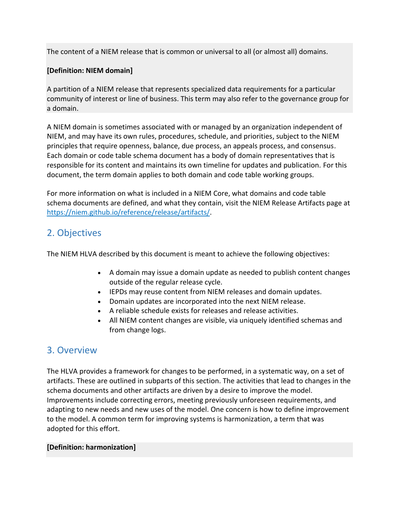The content of a NIEM release that is common or universal to all (or almost all) domains.

## <span id="page-4-3"></span>**[Definition: NIEM domain]**

A partition of a NIEM release that represents specialized data requirements for a particular community of interest or line of business. This term may also refer to the governance group for a domain.

A NIEM domain is sometimes associated with or managed by an organization independent of NIEM, and may have its own rules, procedures, schedule, and priorities, subject to the NIEM principles that require openness, balance, due process, an appeals process, and consensus. Each domain or code table schema document has a body of domain representatives that is responsible for its content and maintains its own timeline for updates and publication. For this document, the term domain applies to both domain and code table working groups.

For more information on what is included in a NIEM Core, what domains and code table schema documents are defined, and what they contain, visit the NIEM Release Artifacts page at [https://niem.github.io/reference/release/artifacts/.](https://niem.github.io/reference/release/artifacts/)

## <span id="page-4-0"></span>2. Objectives

The NIEM HLVA described by this document is meant to achieve the following objectives:

- A domain may issue a domain update as needed to publish content changes outside of the regular release cycle.
- IEPDs may reuse content from NIEM releases and domain updates.
- Domain updates are incorporated into the next NIEM release.
- A reliable schedule exists for releases and release activities.
- All NIEM content changes are visible, via uniquely identified schemas and from change logs.

## <span id="page-4-1"></span>3. Overview

The HLVA provides a framework for changes to be performed, in a systematic way, on a set of artifacts. These are outlined in subparts of this section. The activities that lead to changes in the schema documents and other artifacts are driven by a desire to improve the model. Improvements include correcting errors, meeting previously unforeseen requirements, and adapting to new needs and new uses of the model. One concern is how to define improvement to the model. A common term for improving systems is harmonization, a term that was adopted for this effort.

## <span id="page-4-2"></span>**[Definition: harmonization]**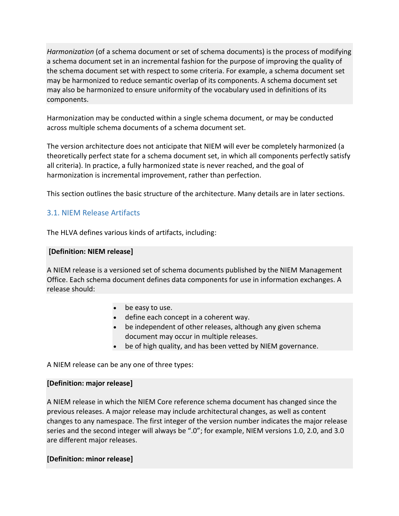*Harmonization* (of a schema document or set of schema documents) is the process of modifying a schema document set in an incremental fashion for the purpose of improving the quality of the schema document set with respect to some criteria. For example, a schema document set may be harmonized to reduce semantic overlap of its components. A schema document set may also be harmonized to ensure uniformity of the vocabulary used in definitions of its components.

Harmonization may be conducted within a single schema document, or may be conducted across multiple schema documents of a schema document set.

The version architecture does not anticipate that NIEM will ever be completely harmonized (a theoretically perfect state for a schema document set, in which all components perfectly satisfy all criteria). In practice, a fully harmonized state is never reached, and the goal of harmonization is incremental improvement, rather than perfection.

This section outlines the basic structure of the architecture. Many details are in later sections.

## <span id="page-5-0"></span>3.1. NIEM Release Artifacts

The HLVA defines various kinds of artifacts, including:

#### <span id="page-5-3"></span>**[Definition: NIEM release]**

A NIEM release is a versioned set of schema documents published by the NIEM Management Office. Each schema document defines data components for use in information exchanges. A release should:

- be easy to use.
- define each concept in a coherent way.
- be independent of other releases, although any given schema document may occur in multiple releases.
- be of high quality, and has been vetted by NIEM governance.

A NIEM release can be any one of three types:

#### <span id="page-5-1"></span>**[Definition: major release]**

A NIEM release in which the NIEM Core reference schema document has changed since the previous releases. A major release may include architectural changes, as well as content changes to any namespace. The first integer of the version number indicates the major release series and the second integer will always be ".0"; for example, NIEM versions 1.0, 2.0, and 3.0 are different major releases.

#### <span id="page-5-2"></span>**[Definition: minor release]**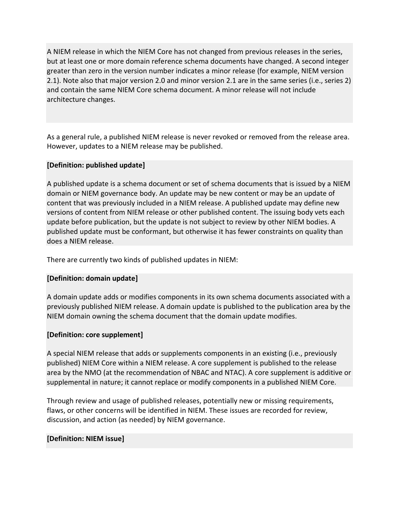A NIEM release in which the NIEM Core has not changed from previous releases in the series, but at least one or more domain reference schema documents have changed. A second integer greater than zero in the version number indicates a minor release (for example, NIEM version 2.1). Note also that major version 2.0 and minor version 2.1 are in the same series (i.e., series 2) and contain the same NIEM Core schema document. A minor release will not include architecture changes.

As a general rule, a published NIEM release is never revoked or removed from the release area. However, updates to a NIEM release may be published.

#### <span id="page-6-3"></span>**[Definition: published update]**

A published update is a schema document or set of schema documents that is issued by a NIEM domain or NIEM governance body. An update may be new content or may be an update of content that was previously included in a NIEM release. A published update may define new versions of content from NIEM release or other published content. The issuing body vets each update before publication, but the update is not subject to review by other NIEM bodies. A published update must be conformant, but otherwise it has fewer constraints on quality than does a NIEM release.

There are currently two kinds of published updates in NIEM:

#### <span id="page-6-1"></span>**[Definition: domain update]**

A domain update adds or modifies components in its own schema documents associated with a previously published NIEM release. A domain update is published to the publication area by the NIEM domain owning the schema document that the domain update modifies.

#### <span id="page-6-0"></span>**[Definition: core supplement]**

A special NIEM release that adds or supplements components in an existing (i.e., previously published) NIEM Core within a NIEM release. A core supplement is published to the release area by the NMO (at the recommendation of NBAC and NTAC). A core supplement is additive or supplemental in nature; it cannot replace or modify components in a published NIEM Core.

Through review and usage of published releases, potentially new or missing requirements, flaws, or other concerns will be identified in NIEM. These issues are recorded for review, discussion, and action (as needed) by NIEM governance.

#### <span id="page-6-2"></span>**[Definition: NIEM issue]**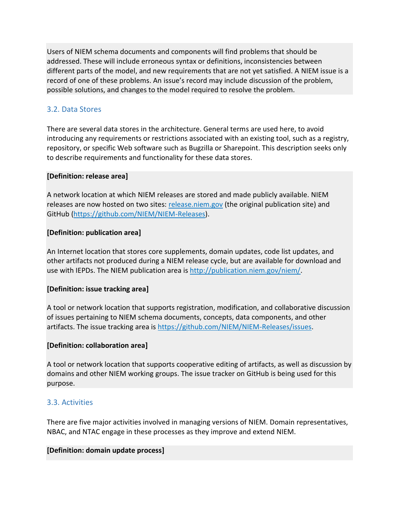Users of NIEM schema documents and components will find problems that should be addressed. These will include erroneous syntax or definitions, inconsistencies between different parts of the model, and new requirements that are not yet satisfied. A NIEM issue is a record of one of these problems. An issue's record may include discussion of the problem, possible solutions, and changes to the model required to resolve the problem.

## <span id="page-7-0"></span>3.2. Data Stores

There are several data stores in the architecture. General terms are used here, to avoid introducing any requirements or restrictions associated with an existing tool, such as a registry, repository, or specific Web software such as Bugzilla or Sharepoint. This description seeks only to describe requirements and functionality for these data stores.

#### <span id="page-7-6"></span>**[Definition: release area]**

A network location at which NIEM releases are stored and made publicly available. NIEM releases are now hosted on two sites: [release.niem.gov](https://release.niem.gov/niem) (the original publication site) and GitHub [\(https://github.com/NIEM/NIEM-Releases\)](https://github.com/NIEM/NIEM-Releases).

#### <span id="page-7-5"></span>**[Definition: publication area]**

An Internet location that stores core supplements, domain updates, code list updates, and other artifacts not produced during a NIEM release cycle, but are available for download and use with IEPDs. The NIEM publication area is [http://publication.niem.gov/niem/.](http://publication.niem.gov/niem/)

## <span id="page-7-4"></span>**[Definition: issue tracking area]**

A tool or network location that supports registration, modification, and collaborative discussion of issues pertaining to NIEM schema documents, concepts, data components, and other artifacts. The issue tracking area is [https://github.com/NIEM/NIEM-Releases/issues.](https://github.com/NIEM/NIEM-Releases/issues)

#### <span id="page-7-2"></span>**[Definition: collaboration area]**

A tool or network location that supports cooperative editing of artifacts, as well as discussion by domains and other NIEM working groups. The issue tracker on GitHub is being used for this purpose.

## <span id="page-7-1"></span>3.3. Activities

There are five major activities involved in managing versions of NIEM. Domain representatives, NBAC, and NTAC engage in these processes as they improve and extend NIEM.

#### <span id="page-7-3"></span>**[Definition: domain update process]**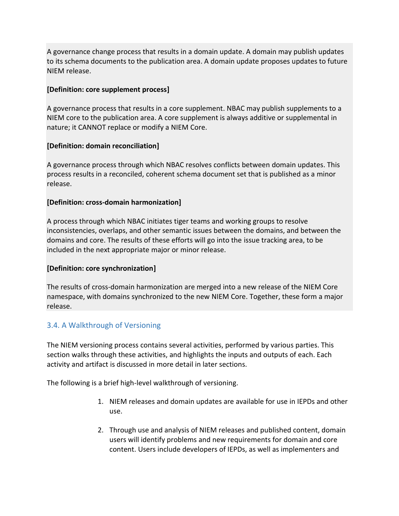A governance change process that results in a domain update. A domain may publish updates to its schema documents to the publication area. A domain update proposes updates to future NIEM release.

#### <span id="page-8-1"></span>**[Definition: core supplement process]**

A governance process that results in a core supplement. NBAC may publish supplements to a NIEM core to the publication area. A core supplement is always additive or supplemental in nature; it CANNOT replace or modify a NIEM Core.

#### <span id="page-8-4"></span>**[Definition: domain reconciliation]**

A governance process through which NBAC resolves conflicts between domain updates. This process results in a reconciled, coherent schema document set that is published as a minor release.

#### <span id="page-8-3"></span>**[Definition: cross-domain harmonization]**

A process through which NBAC initiates tiger teams and working groups to resolve inconsistencies, overlaps, and other semantic issues between the domains, and between the domains and core. The results of these efforts will go into the issue tracking area, to be included in the next appropriate major or minor release.

## <span id="page-8-2"></span>**[Definition: core synchronization]**

The results of cross-domain harmonization are merged into a new release of the NIEM Core namespace, with domains synchronized to the new NIEM Core. Together, these form a major release.

## <span id="page-8-0"></span>3.4. A Walkthrough of Versioning

The NIEM versioning process contains several activities, performed by various parties. This section walks through these activities, and highlights the inputs and outputs of each. Each activity and artifact is discussed in more detail in later sections.

The following is a brief high-level walkthrough of versioning.

- 1. NIEM releases and domain updates are available for use in IEPDs and other use.
- 2. Through use and analysis of NIEM releases and published content, domain users will identify problems and new requirements for domain and core content. Users include developers of IEPDs, as well as implementers and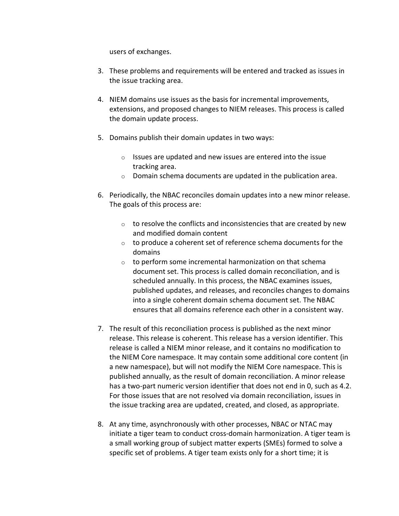users of exchanges.

- 3. These problems and requirements will be entered and tracked as issues in the issue tracking area.
- 4. NIEM domains use issues as the basis for incremental improvements, extensions, and proposed changes to NIEM releases. This process is called the domain update process.
- 5. Domains publish their domain updates in two ways:
	- o Issues are updated and new issues are entered into the issue tracking area.
	- o Domain schema documents are updated in the publication area.
- 6. Periodically, the NBAC reconciles domain updates into a new minor release. The goals of this process are:
	- $\circ$  to resolve the conflicts and inconsistencies that are created by new and modified domain content
	- o to produce a coherent set of reference schema documents for the domains
	- o to perform some incremental harmonization on that schema document set. This process is called domain reconciliation, and is scheduled annually. In this process, the NBAC examines issues, published updates, and releases, and reconciles changes to domains into a single coherent domain schema document set. The NBAC ensures that all domains reference each other in a consistent way.
- 7. The result of this reconciliation process is published as the next minor release. This release is coherent. This release has a version identifier. This release is called a NIEM minor release, and it contains no modification to the NIEM Core namespace. It may contain some additional core content (in a new namespace), but will not modify the NIEM Core namespace. This is published annually, as the result of domain reconciliation. A minor release has a two-part numeric version identifier that does not end in 0, such as 4.2. For those issues that are not resolved via domain reconciliation, issues in the issue tracking area are updated, created, and closed, as appropriate.
- 8. At any time, asynchronously with other processes, NBAC or NTAC may initiate a tiger team to conduct cross-domain harmonization. A tiger team is a small working group of subject matter experts (SMEs) formed to solve a specific set of problems. A tiger team exists only for a short time; it is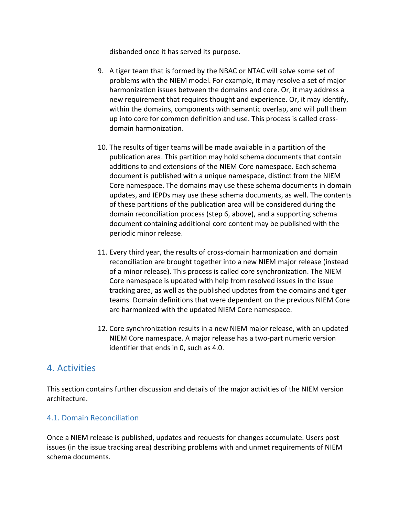disbanded once it has served its purpose.

- 9. A tiger team that is formed by the NBAC or NTAC will solve some set of problems with the NIEM model. For example, it may resolve a set of major harmonization issues between the domains and core. Or, it may address a new requirement that requires thought and experience. Or, it may identify, within the domains, components with semantic overlap, and will pull them up into core for common definition and use. This process is called crossdomain harmonization.
- 10. The results of tiger teams will be made available in a partition of the publication area. This partition may hold schema documents that contain additions to and extensions of the NIEM Core namespace. Each schema document is published with a unique namespace, distinct from the NIEM Core namespace. The domains may use these schema documents in domain updates, and IEPDs may use these schema documents, as well. The contents of these partitions of the publication area will be considered during the domain reconciliation process (step 6, above), and a supporting schema document containing additional core content may be published with the periodic minor release.
- 11. Every third year, the results of cross-domain harmonization and domain reconciliation are brought together into a new NIEM major release (instead of a minor release). This process is called core synchronization. The NIEM Core namespace is updated with help from resolved issues in the issue tracking area, as well as the published updates from the domains and tiger teams. Domain definitions that were dependent on the previous NIEM Core are harmonized with the updated NIEM Core namespace.
- 12. Core synchronization results in a new NIEM major release, with an updated NIEM Core namespace. A major release has a two-part numeric version identifier that ends in 0, such as 4.0.

## <span id="page-10-0"></span>4. Activities

This section contains further discussion and details of the major activities of the NIEM version architecture.

## <span id="page-10-1"></span>4.1. Domain Reconciliation

Once a NIEM release is published, updates and requests for changes accumulate. Users post issues (in the issue tracking area) describing problems with and unmet requirements of NIEM schema documents.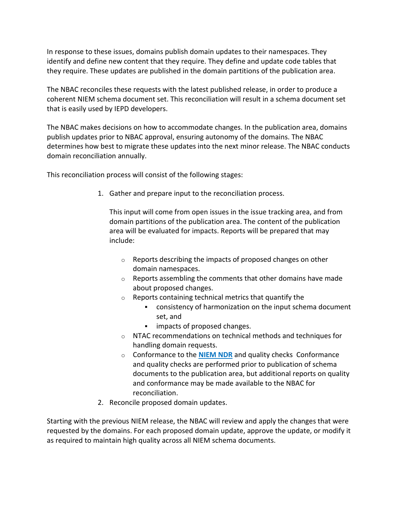In response to these issues, domains publish domain updates to their namespaces. They identify and define new content that they require. They define and update code tables that they require. These updates are published in the domain partitions of the publication area.

The NBAC reconciles these requests with the latest published release, in order to produce a coherent NIEM schema document set. This reconciliation will result in a schema document set that is easily used by IEPD developers.

The NBAC makes decisions on how to accommodate changes. In the publication area, domains publish updates prior to NBAC approval, ensuring autonomy of the domains. The NBAC determines how best to migrate these updates into the next minor release. The NBAC conducts domain reconciliation annually.

This reconciliation process will consist of the following stages:

1. Gather and prepare input to the reconciliation process.

This input will come from open issues in the issue tracking area, and from domain partitions of the publication area. The content of the publication area will be evaluated for impacts. Reports will be prepared that may include:

- o Reports describing the impacts of proposed changes on other domain namespaces.
- o Reports assembling the comments that other domains have made about proposed changes.
- o Reports containing technical metrics that quantify the
	- consistency of harmonization on the input schema document set, and
	- **·** impacts of proposed changes.
- o NTAC recommendations on technical methods and techniques for handling domain requests.
- o Conformance to the **[NIEM NDR](https://reference.niem.gov/niem/specification/naming-and-design-rules/5.0/niem-ndr-5.0.html)** and quality checks Conformance and quality checks are performed prior to publication of schema documents to the publication area, but additional reports on quality and conformance may be made available to the NBAC for reconciliation.
- 2. Reconcile proposed domain updates.

Starting with the previous NIEM release, the NBAC will review and apply the changes that were requested by the domains. For each proposed domain update, approve the update, or modify it as required to maintain high quality across all NIEM schema documents.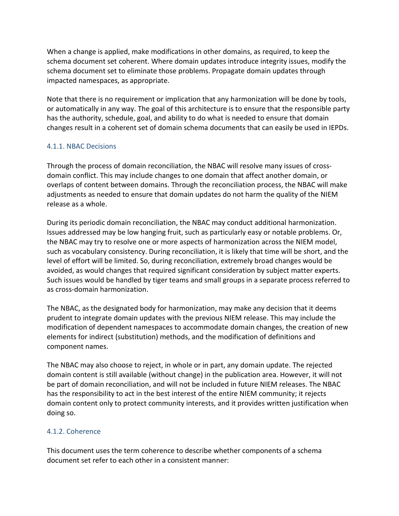When a change is applied, make modifications in other domains, as required, to keep the schema document set coherent. Where domain updates introduce integrity issues, modify the schema document set to eliminate those problems. Propagate domain updates through impacted namespaces, as appropriate.

Note that there is no requirement or implication that any harmonization will be done by tools, or automatically in any way. The goal of this architecture is to ensure that the responsible party has the authority, schedule, goal, and ability to do what is needed to ensure that domain changes result in a coherent set of domain schema documents that can easily be used in IEPDs.

## 4.1.1. NBAC Decisions

Through the process of domain reconciliation, the NBAC will resolve many issues of crossdomain conflict. This may include changes to one domain that affect another domain, or overlaps of content between domains. Through the reconciliation process, the NBAC will make adjustments as needed to ensure that domain updates do not harm the quality of the NIEM release as a whole.

During its periodic domain reconciliation, the NBAC may conduct additional harmonization. Issues addressed may be low hanging fruit, such as particularly easy or notable problems. Or, the NBAC may try to resolve one or more aspects of harmonization across the NIEM model, such as vocabulary consistency. During reconciliation, it is likely that time will be short, and the level of effort will be limited. So, during reconciliation, extremely broad changes would be avoided, as would changes that required significant consideration by subject matter experts. Such issues would be handled by tiger teams and small groups in a separate process referred to as cross-domain harmonization.

The NBAC, as the designated body for harmonization, may make any decision that it deems prudent to integrate domain updates with the previous NIEM release. This may include the modification of dependent namespaces to accommodate domain changes, the creation of new elements for indirect (substitution) methods, and the modification of definitions and component names.

The NBAC may also choose to reject, in whole or in part, any domain update. The rejected domain content is still available (without change) in the publication area. However, it will not be part of domain reconciliation, and will not be included in future NIEM releases. The NBAC has the responsibility to act in the best interest of the entire NIEM community; it rejects domain content only to protect community interests, and it provides written justification when doing so.

## 4.1.2. Coherence

This document uses the term coherence to describe whether components of a schema document set refer to each other in a consistent manner: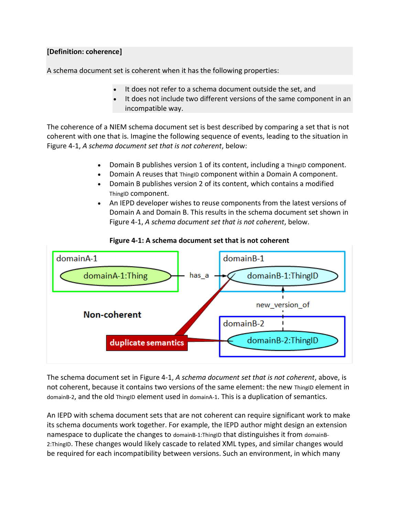#### <span id="page-13-0"></span>**[Definition: coherence]**

A schema document set is coherent when it has the following properties:

- It does not refer to a schema document outside the set, and
- It does not include two different versions of the same component in an incompatible way.

The coherence of a NIEM schema document set is best described by comparing a set that is not coherent with one that is. Imagine the following sequence of events, leading to the situation in Figure 4-1, *A schema document set that is not coherent*, below:

- Domain B publishes version 1 of its content, including a ThingID component.
- Domain A reuses that ThingID component within a Domain A component.
- Domain B publishes version 2 of its content, which contains a modified ThingID component.
- An IEPD developer wishes to reuse components from the latest versions of Domain A and Domain B. This results in the schema document set shown in Figure 4-1, *A schema document set that is not coherent*, below.



**Figure 4-1: A schema document set that is not coherent**

The schema document set in Figure 4-1, *A schema document set that is not coherent*, above, is not coherent, because it contains two versions of the same element: the new ThingID element in domainB-2, and the old ThingID element used in domainA-1. This is a duplication of semantics.

An IEPD with schema document sets that are not coherent can require significant work to make its schema documents work together. For example, the IEPD author might design an extension namespace to duplicate the changes to domainB-1:ThingID that distinguishes it from domainB-2:ThingID. These changes would likely cascade to related XML types, and similar changes would be required for each incompatibility between versions. Such an environment, in which many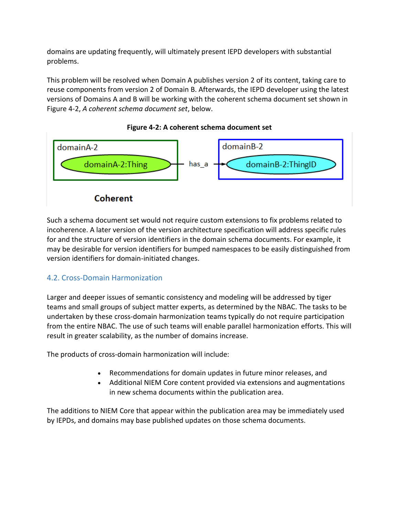domains are updating frequently, will ultimately present IEPD developers with substantial problems.

This problem will be resolved when Domain A publishes version 2 of its content, taking care to reuse components from version 2 of Domain B. Afterwards, the IEPD developer using the latest versions of Domains A and B will be working with the coherent schema document set shown in Figure 4-2, *A coherent schema document set*, below.



**Figure 4-2: A coherent schema document set**

Such a schema document set would not require custom extensions to fix problems related to incoherence. A later version of the version architecture specification will address specific rules for and the structure of version identifiers in the domain schema documents. For example, it may be desirable for version identifiers for bumped namespaces to be easily distinguished from version identifiers for domain-initiated changes.

## <span id="page-14-0"></span>4.2. Cross-Domain Harmonization

Larger and deeper issues of semantic consistency and modeling will be addressed by tiger teams and small groups of subject matter experts, as determined by the NBAC. The tasks to be undertaken by these cross-domain harmonization teams typically do not require participation from the entire NBAC. The use of such teams will enable parallel harmonization efforts. This will result in greater scalability, as the number of domains increase.

The products of cross-domain harmonization will include:

- Recommendations for domain updates in future minor releases, and
- Additional NIEM Core content provided via extensions and augmentations in new schema documents within the publication area.

The additions to NIEM Core that appear within the publication area may be immediately used by IEPDs, and domains may base published updates on those schema documents.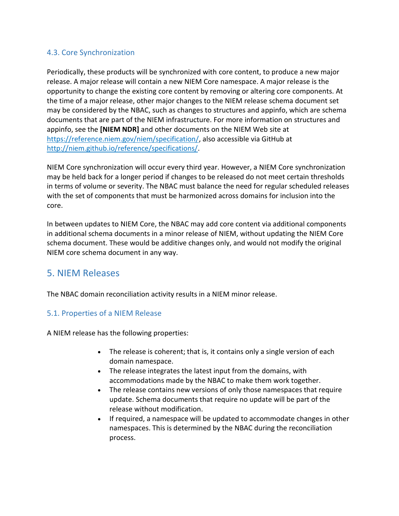## <span id="page-15-0"></span>4.3. Core Synchronization

Periodically, these products will be synchronized with core content, to produce a new major release. A major release will contain a new NIEM Core namespace. A major release is the opportunity to change the existing core content by removing or altering core components. At the time of a major release, other major changes to the NIEM release schema document set may be considered by the NBAC, such as changes to structures and appinfo, which are schema documents that are part of the NIEM infrastructure. For more information on structures and appinfo, see the **[NIEM NDR]** and other documents on the NIEM Web site at [https://reference.niem.gov/niem/specification/,](https://reference.niem.gov/niem/specification/) also accessible via GitHub at [http://niem.github.io/reference/specifications/.](http://niem.github.io/reference/specifications/)

NIEM Core synchronization will occur every third year. However, a NIEM Core synchronization may be held back for a longer period if changes to be released do not meet certain thresholds in terms of volume or severity. The NBAC must balance the need for regular scheduled releases with the set of components that must be harmonized across domains for inclusion into the core.

In between updates to NIEM Core, the NBAC may add core content via additional components in additional schema documents in a minor release of NIEM, without updating the NIEM Core schema document. These would be additive changes only, and would not modify the original NIEM core schema document in any way.

## <span id="page-15-1"></span>5. NIEM Releases

The NBAC domain reconciliation activity results in a NIEM minor release.

## <span id="page-15-2"></span>5.1. Properties of a NIEM Release

A NIEM release has the following properties:

- The release is coherent; that is, it contains only a single version of each domain namespace.
- The release integrates the latest input from the domains, with accommodations made by the NBAC to make them work together.
- The release contains new versions of only those namespaces that require update. Schema documents that require no update will be part of the release without modification.
- If required, a namespace will be updated to accommodate changes in other namespaces. This is determined by the NBAC during the reconciliation process.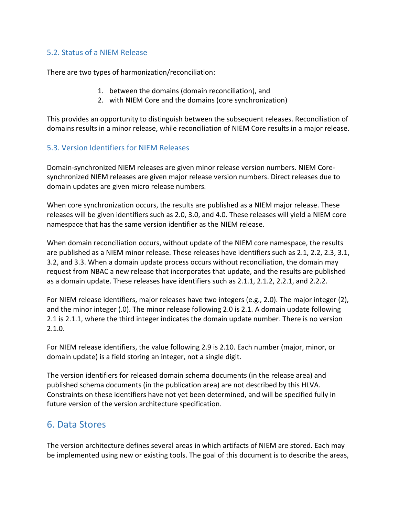## <span id="page-16-0"></span>5.2. Status of a NIEM Release

There are two types of harmonization/reconciliation:

- 1. between the domains (domain reconciliation), and
- 2. with NIEM Core and the domains (core synchronization)

This provides an opportunity to distinguish between the subsequent releases. Reconciliation of domains results in a minor release, while reconciliation of NIEM Core results in a major release.

## <span id="page-16-1"></span>5.3. Version Identifiers for NIEM Releases

Domain-synchronized NIEM releases are given minor release version numbers. NIEM Coresynchronized NIEM releases are given major release version numbers. Direct releases due to domain updates are given micro release numbers.

When core synchronization occurs, the results are published as a NIEM major release. These releases will be given identifiers such as 2.0, 3.0, and 4.0. These releases will yield a NIEM core namespace that has the same version identifier as the NIEM release.

When domain reconciliation occurs, without update of the NIEM core namespace, the results are published as a NIEM minor release. These releases have identifiers such as 2.1, 2.2, 2.3, 3.1, 3.2, and 3.3. When a domain update process occurs without reconciliation, the domain may request from NBAC a new release that incorporates that update, and the results are published as a domain update. These releases have identifiers such as 2.1.1, 2.1.2, 2.2.1, and 2.2.2.

For NIEM release identifiers, major releases have two integers (e.g., 2.0). The major integer (2), and the minor integer (.0). The minor release following 2.0 is 2.1. A domain update following 2.1 is 2.1.1, where the third integer indicates the domain update number. There is no version 2.1.0.

For NIEM release identifiers, the value following 2.9 is 2.10. Each number (major, minor, or domain update) is a field storing an integer, not a single digit.

The version identifiers for released domain schema documents (in the release area) and published schema documents (in the publication area) are not described by this HLVA. Constraints on these identifiers have not yet been determined, and will be specified fully in future version of the version architecture specification.

## <span id="page-16-2"></span>6. Data Stores

The version architecture defines several areas in which artifacts of NIEM are stored. Each may be implemented using new or existing tools. The goal of this document is to describe the areas,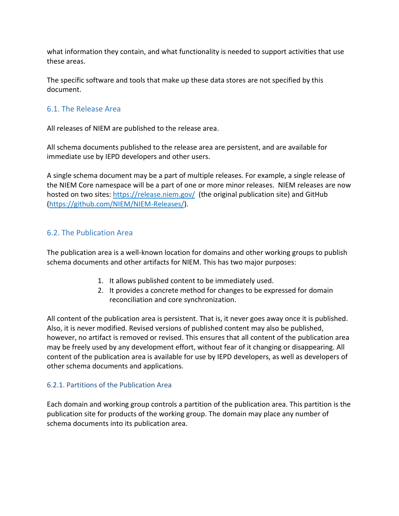what information they contain, and what functionality is needed to support activities that use these areas.

The specific software and tools that make up these data stores are not specified by this document.

## <span id="page-17-0"></span>6.1. The Release Area

All releases of NIEM are published to the release area.

All schema documents published to the release area are persistent, and are available for immediate use by IEPD developers and other users.

A single schema document may be a part of multiple releases. For example, a single release of the NIEM Core namespace will be a part of one or more minor releases. NIEM releases are now hosted on two sites:<https://release.niem.gov/> (the original publication site) and GitHub [\(https://github.com/NIEM/NIEM-Releases/\)](https://github.com/NIEM/NIEM-Releases/).

## <span id="page-17-1"></span>6.2. The Publication Area

The publication area is a well-known location for domains and other working groups to publish schema documents and other artifacts for NIEM. This has two major purposes:

- 1. It allows published content to be immediately used.
- 2. It provides a concrete method for changes to be expressed for domain reconciliation and core synchronization.

All content of the publication area is persistent. That is, it never goes away once it is published. Also, it is never modified. Revised versions of published content may also be published, however, no artifact is removed or revised. This ensures that all content of the publication area may be freely used by any development effort, without fear of it changing or disappearing. All content of the publication area is available for use by IEPD developers, as well as developers of other schema documents and applications.

## 6.2.1. Partitions of the Publication Area

Each domain and working group controls a partition of the publication area. This partition is the publication site for products of the working group. The domain may place any number of schema documents into its publication area.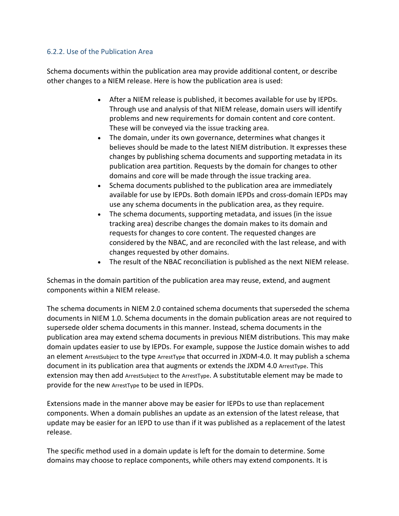#### 6.2.2. Use of the Publication Area

Schema documents within the publication area may provide additional content, or describe other changes to a NIEM release. Here is how the publication area is used:

- After a NIEM release is published, it becomes available for use by IEPDs. Through use and analysis of that NIEM release, domain users will identify problems and new requirements for domain content and core content. These will be conveyed via the issue tracking area.
- The domain, under its own governance, determines what changes it believes should be made to the latest NIEM distribution. It expresses these changes by publishing schema documents and supporting metadata in its publication area partition. Requests by the domain for changes to other domains and core will be made through the issue tracking area.
- Schema documents published to the publication area are immediately available for use by IEPDs. Both domain IEPDs and cross-domain IEPDs may use any schema documents in the publication area, as they require.
- The schema documents, supporting metadata, and issues (in the issue tracking area) describe changes the domain makes to its domain and requests for changes to core content. The requested changes are considered by the NBAC, and are reconciled with the last release, and with changes requested by other domains.
- The result of the NBAC reconciliation is published as the next NIEM release.

Schemas in the domain partition of the publication area may reuse, extend, and augment components within a NIEM release.

The schema documents in NIEM 2.0 contained schema documents that superseded the schema documents in NIEM 1.0. Schema documents in the domain publication areas are not required to supersede older schema documents in this manner. Instead, schema documents in the publication area may extend schema documents in previous NIEM distributions. This may make domain updates easier to use by IEPDs. For example, suppose the Justice domain wishes to add an element ArrestSubject to the type ArrestType that occurred in JXDM-4.0. It may publish a schema document in its publication area that augments or extends the JXDM 4.0 ArrestType. This extension may then add ArrestSubject to the ArrestType. A substitutable element may be made to provide for the new ArrestType to be used in IEPDs.

Extensions made in the manner above may be easier for IEPDs to use than replacement components. When a domain publishes an update as an extension of the latest release, that update may be easier for an IEPD to use than if it was published as a replacement of the latest release.

The specific method used in a domain update is left for the domain to determine. Some domains may choose to replace components, while others may extend components. It is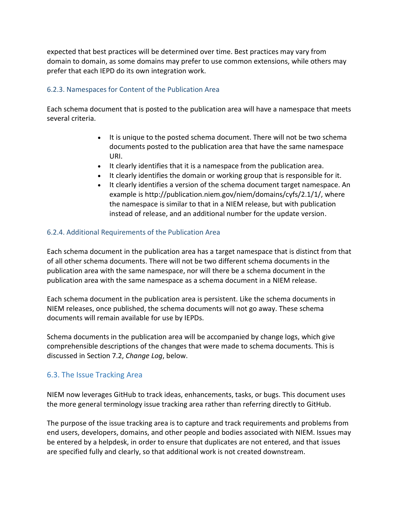expected that best practices will be determined over time. Best practices may vary from domain to domain, as some domains may prefer to use common extensions, while others may prefer that each IEPD do its own integration work.

## 6.2.3. Namespaces for Content of the Publication Area

Each schema document that is posted to the publication area will have a namespace that meets several criteria.

- It is unique to the posted schema document. There will not be two schema documents posted to the publication area that have the same namespace URI.
- It clearly identifies that it is a namespace from the publication area.
- It clearly identifies the domain or working group that is responsible for it.
- It clearly identifies a version of the schema document target namespace. An example is http://publication.niem.gov/niem/domains/cyfs/2.1/1/, where the namespace is similar to that in a NIEM release, but with publication instead of release, and an additional number for the update version.

## 6.2.4. Additional Requirements of the Publication Area

Each schema document in the publication area has a target namespace that is distinct from that of all other schema documents. There will not be two different schema documents in the publication area with the same namespace, nor will there be a schema document in the publication area with the same namespace as a schema document in a NIEM release.

Each schema document in the publication area is persistent. Like the schema documents in NIEM releases, once published, the schema documents will not go away. These schema documents will remain available for use by IEPDs.

Schema documents in the publication area will be accompanied by change logs, which give comprehensible descriptions of the changes that were made to schema documents. This is discussed in Section 7.2, *Change Log*, below.

## <span id="page-19-0"></span>6.3. The Issue Tracking Area

NIEM now leverages GitHub to track ideas, enhancements, tasks, or bugs. This document uses the more general terminology issue tracking area rather than referring directly to GitHub.

The purpose of the issue tracking area is to capture and track requirements and problems from end users, developers, domains, and other people and bodies associated with NIEM. Issues may be entered by a helpdesk, in order to ensure that duplicates are not entered, and that issues are specified fully and clearly, so that additional work is not created downstream.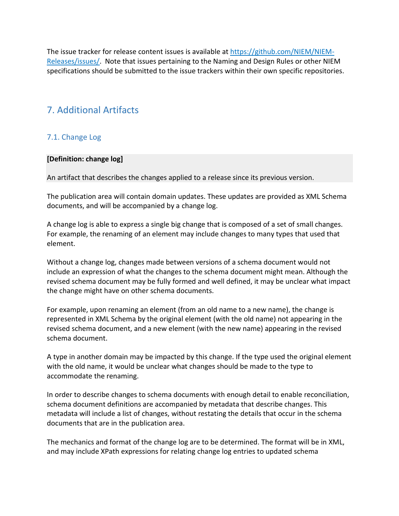The issue tracker for release content issues is available at [https://github.com/NIEM/NIEM-](https://github.com/NIEM/NIEM-Releases/issues/)[Releases/issues/.](https://github.com/NIEM/NIEM-Releases/issues/) Note that issues pertaining to the Naming and Design Rules or other NIEM specifications should be submitted to the issue trackers within their own specific repositories.

## <span id="page-20-0"></span>7. Additional Artifacts

## <span id="page-20-1"></span>7.1. Change Log

#### <span id="page-20-2"></span>**[Definition: change log]**

An artifact that describes the changes applied to a release since its previous version.

The publication area will contain domain updates. These updates are provided as XML Schema documents, and will be accompanied by a change log.

A change log is able to express a single big change that is composed of a set of small changes. For example, the renaming of an element may include changes to many types that used that element.

Without a change log, changes made between versions of a schema document would not include an expression of what the changes to the schema document might mean. Although the revised schema document may be fully formed and well defined, it may be unclear what impact the change might have on other schema documents.

For example, upon renaming an element (from an old name to a new name), the change is represented in XML Schema by the original element (with the old name) not appearing in the revised schema document, and a new element (with the new name) appearing in the revised schema document.

A type in another domain may be impacted by this change. If the type used the original element with the old name, it would be unclear what changes should be made to the type to accommodate the renaming.

In order to describe changes to schema documents with enough detail to enable reconciliation, schema document definitions are accompanied by metadata that describe changes. This metadata will include a list of changes, without restating the details that occur in the schema documents that are in the publication area.

The mechanics and format of the change log are to be determined. The format will be in XML, and may include XPath expressions for relating change log entries to updated schema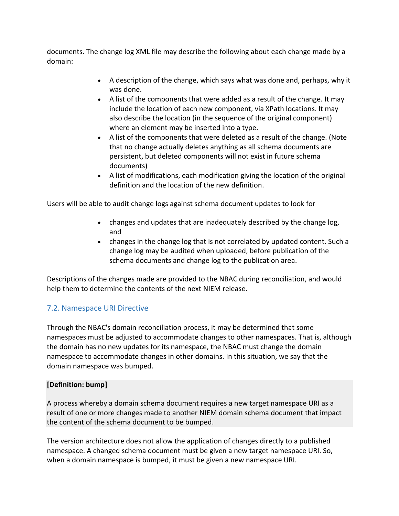documents. The change log XML file may describe the following about each change made by a domain:

- A description of the change, which says what was done and, perhaps, why it was done.
- A list of the components that were added as a result of the change. It may include the location of each new component, via XPath locations. It may also describe the location (in the sequence of the original component) where an element may be inserted into a type.
- A list of the components that were deleted as a result of the change. (Note that no change actually deletes anything as all schema documents are persistent, but deleted components will not exist in future schema documents)
- A list of modifications, each modification giving the location of the original definition and the location of the new definition.

Users will be able to audit change logs against schema document updates to look for

- changes and updates that are inadequately described by the change log, and
- changes in the change log that is not correlated by updated content. Such a change log may be audited when uploaded, before publication of the schema documents and change log to the publication area.

Descriptions of the changes made are provided to the NBAC during reconciliation, and would help them to determine the contents of the next NIEM release.

## <span id="page-21-0"></span>7.2. Namespace URI Directive

Through the NBAC's domain reconciliation process, it may be determined that some namespaces must be adjusted to accommodate changes to other namespaces. That is, although the domain has no new updates for its namespace, the NBAC must change the domain namespace to accommodate changes in other domains. In this situation, we say that the domain namespace was bumped.

## <span id="page-21-1"></span>**[Definition: bump]**

A process whereby a domain schema document requires a new target namespace URI as a result of one or more changes made to another NIEM domain schema document that impact the content of the schema document to be bumped.

The version architecture does not allow the application of changes directly to a published namespace. A changed schema document must be given a new target namespace URI. So, when a domain namespace is bumped, it must be given a new namespace URI.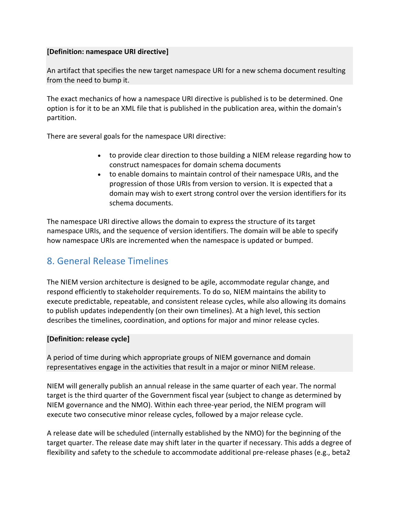#### <span id="page-22-1"></span>**[Definition: namespace URI directive]**

An artifact that specifies the new target namespace URI for a new schema document resulting from the need to bump it.

The exact mechanics of how a namespace URI directive is published is to be determined. One option is for it to be an XML file that is published in the publication area, within the domain's partition.

There are several goals for the namespace URI directive:

- to provide clear direction to those building a NIEM release regarding how to construct namespaces for domain schema documents
- to enable domains to maintain control of their namespace URIs, and the progression of those URIs from version to version. It is expected that a domain may wish to exert strong control over the version identifiers for its schema documents.

The namespace URI directive allows the domain to express the structure of its target namespace URIs, and the sequence of version identifiers. The domain will be able to specify how namespace URIs are incremented when the namespace is updated or bumped.

## <span id="page-22-0"></span>8. General Release Timelines

The NIEM version architecture is designed to be agile, accommodate regular change, and respond efficiently to stakeholder requirements. To do so, NIEM maintains the ability to execute predictable, repeatable, and consistent release cycles, while also allowing its domains to publish updates independently (on their own timelines). At a high level, this section describes the timelines, coordination, and options for major and minor release cycles.

## <span id="page-22-2"></span>**[Definition: release cycle]**

A period of time during which appropriate groups of NIEM governance and domain representatives engage in the activities that result in a major or minor NIEM release.

NIEM will generally publish an annual release in the same quarter of each year. The normal target is the third quarter of the Government fiscal year (subject to change as determined by NIEM governance and the NMO). Within each three-year period, the NIEM program will execute two consecutive minor release cycles, followed by a major release cycle.

A release date will be scheduled (internally established by the NMO) for the beginning of the target quarter. The release date may shift later in the quarter if necessary. This adds a degree of flexibility and safety to the schedule to accommodate additional pre-release phases (e.g., beta2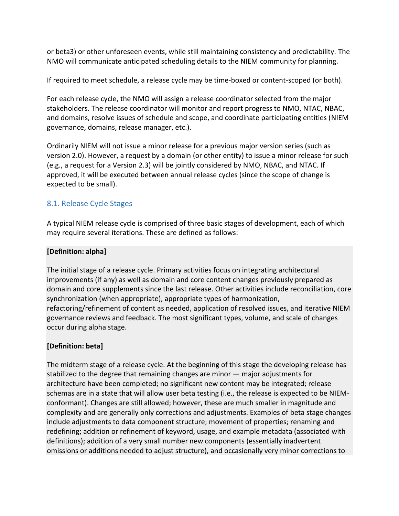or beta3) or other unforeseen events, while still maintaining consistency and predictability. The NMO will communicate anticipated scheduling details to the NIEM community for planning.

If required to meet schedule, a release cycle may be time-boxed or content-scoped (or both).

For each release cycle, the NMO will assign a release coordinator selected from the major stakeholders. The release coordinator will monitor and report progress to NMO, NTAC, NBAC, and domains, resolve issues of schedule and scope, and coordinate participating entities (NIEM governance, domains, release manager, etc.).

Ordinarily NIEM will not issue a minor release for a previous major version series (such as version 2.0). However, a request by a domain (or other entity) to issue a minor release for such (e.g., a request for a Version 2.3) will be jointly considered by NMO, NBAC, and NTAC. If approved, it will be executed between annual release cycles (since the scope of change is expected to be small).

## <span id="page-23-0"></span>8.1. Release Cycle Stages

A typical NIEM release cycle is comprised of three basic stages of development, each of which may require several iterations. These are defined as follows:

## <span id="page-23-1"></span>**[Definition: alpha]**

The initial stage of a release cycle. Primary activities focus on integrating architectural improvements (if any) as well as domain and core content changes previously prepared as domain and core supplements since the last release. Other activities include reconciliation, core synchronization (when appropriate), appropriate types of harmonization, refactoring/refinement of content as needed, application of resolved issues, and iterative NIEM governance reviews and feedback. The most significant types, volume, and scale of changes occur during alpha stage.

## <span id="page-23-2"></span>**[Definition: beta]**

The midterm stage of a release cycle. At the beginning of this stage the developing release has stabilized to the degree that remaining changes are minor — major adjustments for architecture have been completed; no significant new content may be integrated; release schemas are in a state that will allow user beta testing (i.e., the release is expected to be NIEMconformant). Changes are still allowed; however, these are much smaller in magnitude and complexity and are generally only corrections and adjustments. Examples of beta stage changes include adjustments to data component structure; movement of properties; renaming and redefining; addition or refinement of keyword, usage, and example metadata (associated with definitions); addition of a very small number new components (essentially inadvertent omissions or additions needed to adjust structure), and occasionally very minor corrections to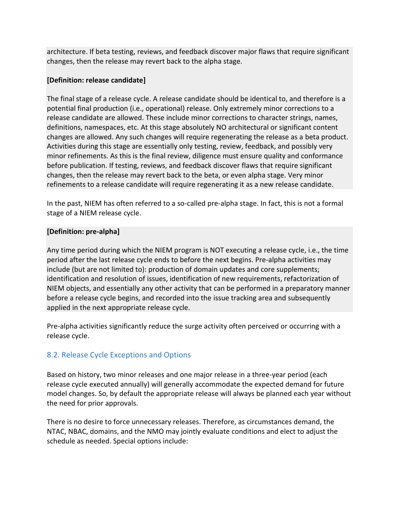architecture. If beta testing, reviews, and feedback discover major flaws that require significant changes, then the release may revert back to the alpha stage.

## <span id="page-24-2"></span>**[Definition: release candidate]**

The final stage of a release cycle. A release candidate should be identical to, and therefore is a potential final production (i.e., operational) release. Only extremely minor corrections to a release candidate are allowed. These include minor corrections to character strings, names, definitions, namespaces, etc. At this stage absolutely NO architectural or significant content changes are allowed. Any such changes will require regenerating the release as a beta product. Activities during this stage are essentially only testing, review, feedback, and possibly very minor refinements. As this is the final review, diligence must ensure quality and conformance before publication. If testing, reviews, and feedback discover flaws that require significant changes, then the release may revert back to the beta, or even alpha stage. Very minor refinements to a release candidate will require regenerating it as a new release candidate.

In the past, NIEM has often referred to a so-called pre-alpha stage. In fact, this is not a formal stage of a NIEM release cycle.

## <span id="page-24-1"></span>**[Definition: pre-alpha]**

Any time period during which the NIEM program is NOT executing a release cycle, i.e., the time period after the last release cycle ends to before the next begins. Pre-alpha activities may include (but are not limited to): production of domain updates and core supplements; identification and resolution of issues, identification of new requirements, refactorization of NIEM objects, and essentially any other activity that can be performed in a preparatory manner before a release cycle begins, and recorded into the issue tracking area and subsequently applied in the next appropriate release cycle.

Pre-alpha activities significantly reduce the surge activity often perceived or occurring with a release cycle.

## <span id="page-24-0"></span>8.2. Release Cycle Exceptions and Options

Based on history, two minor releases and one major release in a three-year period (each release cycle executed annually) will generally accommodate the expected demand for future model changes. So, by default the appropriate release will always be planned each year without the need for prior approvals.

There is no desire to force unnecessary releases. Therefore, as circumstances demand, the NTAC, NBAC, domains, and the NMO may jointly evaluate conditions and elect to adjust the schedule as needed. Special options include: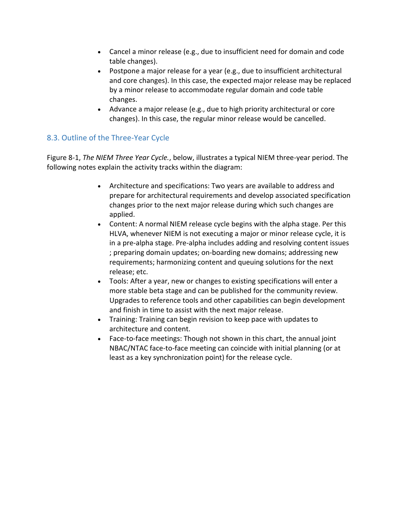- Cancel a minor release (e.g., due to insufficient need for domain and code table changes).
- Postpone a major release for a year (e.g., due to insufficient architectural and core changes). In this case, the expected major release may be replaced by a minor release to accommodate regular domain and code table changes.
- Advance a major release (e.g., due to high priority architectural or core changes). In this case, the regular minor release would be cancelled.

## <span id="page-25-0"></span>8.3. Outline of the Three-Year Cycle

Figure 8-1, *The NIEM Three Year Cycle.*, below, illustrates a typical NIEM three-year period. The following notes explain the activity tracks within the diagram:

- Architecture and specifications: Two years are available to address and prepare for architectural requirements and develop associated specification changes prior to the next major release during which such changes are applied.
- Content: A normal NIEM release cycle begins with the alpha stage. Per this HLVA, whenever NIEM is not executing a major or minor release cycle, it is in a pre-alpha stage. Pre-alpha includes adding and resolving content issues ; preparing domain updates; on-boarding new domains; addressing new requirements; harmonizing content and queuing solutions for the next release; etc.
- Tools: After a year, new or changes to existing specifications will enter a more stable beta stage and can be published for the community review. Upgrades to reference tools and other capabilities can begin development and finish in time to assist with the next major release.
- Training: Training can begin revision to keep pace with updates to architecture and content.
- Face-to-face meetings: Though not shown in this chart, the annual joint NBAC/NTAC face-to-face meeting can coincide with initial planning (or at least as a key synchronization point) for the release cycle.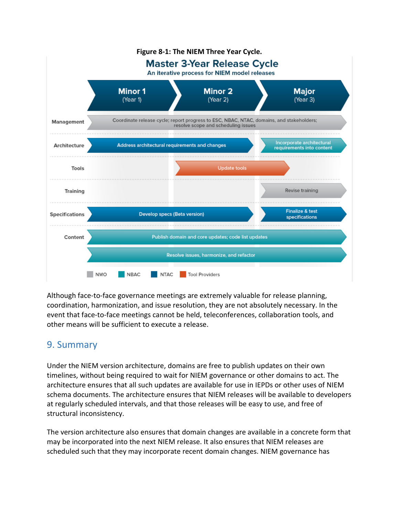

Although face-to-face governance meetings are extremely valuable for release planning, coordination, harmonization, and issue resolution, they are not absolutely necessary. In the event that face-to-face meetings cannot be held, teleconferences, collaboration tools, and other means will be sufficient to execute a release.

## <span id="page-26-0"></span>9. Summary

Under the NIEM version architecture, domains are free to publish updates on their own timelines, without being required to wait for NIEM governance or other domains to act. The architecture ensures that all such updates are available for use in IEPDs or other uses of NIEM schema documents. The architecture ensures that NIEM releases will be available to developers at regularly scheduled intervals, and that those releases will be easy to use, and free of structural inconsistency.

The version architecture also ensures that domain changes are available in a concrete form that may be incorporated into the next NIEM release. It also ensures that NIEM releases are scheduled such that they may incorporate recent domain changes. NIEM governance has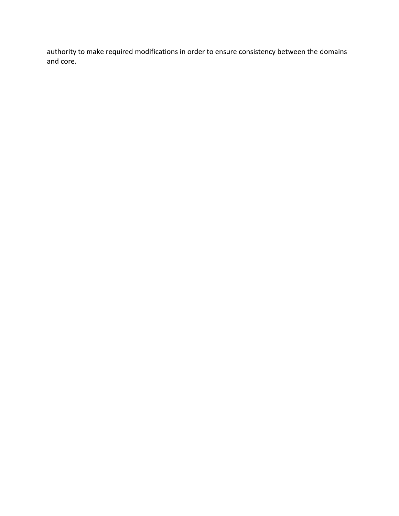authority to make required modifications in order to ensure consistency between the domains and core.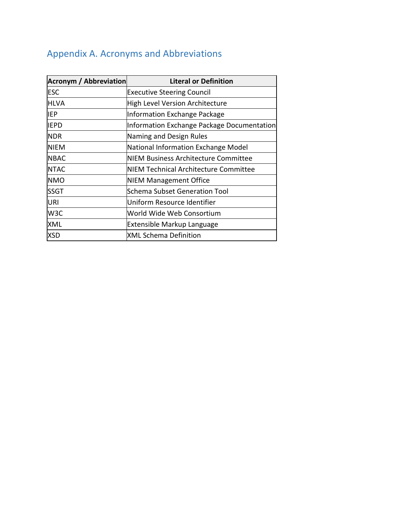## <span id="page-28-0"></span>Appendix A. Acronyms and Abbreviations

| <b>Acronym / Abbreviation</b> | <b>Literal or Definition</b>               |
|-------------------------------|--------------------------------------------|
| <b>ESC</b>                    | <b>Executive Steering Council</b>          |
| HLVA                          | High Level Version Architecture            |
| IEP                           | Information Exchange Package               |
| <b>IEPD</b>                   | Information Exchange Package Documentation |
| <b>NDR</b>                    | Naming and Design Rules                    |
| <b>NIEM</b>                   | National Information Exchange Model        |
| <b>NBAC</b>                   | NIEM Business Architecture Committee       |
| <b>NTAC</b>                   | NIEM Technical Architecture Committee      |
| <b>NMO</b>                    | NIEM Management Office                     |
| ISSGT                         | Schema Subset Generation Tool              |
| <b>URI</b>                    | Uniform Resource Identifier                |
| W <sub>3</sub> C              | World Wide Web Consortium                  |
| XML                           | <b>Extensible Markup Language</b>          |
| <b>XSD</b>                    | XML Schema Definition                      |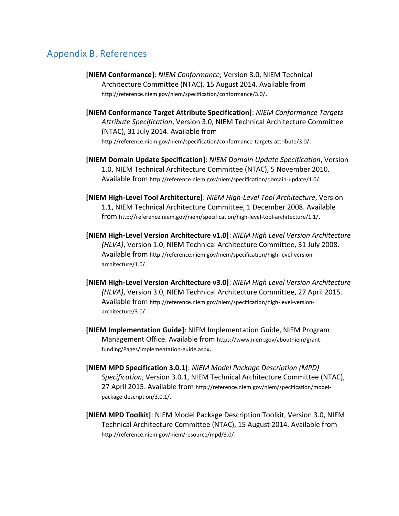## <span id="page-29-0"></span>Appendix B. References

- **[NIEM Conformance]**: *NIEM Conformance*, Version 3.0, NIEM Technical Architecture Committee (NTAC), 15 August 2014. Available from <http://reference.niem.gov/niem/specification/conformance/3.0/>.
- **[NIEM Conformance Target Attribute Specification]**: *NIEM Conformance Targets Attribute Specification*, Version 3.0, NIEM Technical Architecture Committee (NTAC), 31 July 2014. Available from <http://reference.niem.gov/niem/specification/conformance-targets-attribute/3.0/>.
- **[NIEM Domain Update Specification]**: *NIEM Domain Update Specification*, Version 1.0, NIEM Technical Architecture Committee (NTAC), 5 November 2010. Available from <http://reference.niem.gov/niem/specification/domain-update/1.0/>.
- **[NIEM High-Level Tool Architecture]**: *NIEM High-Level Tool Architecture*, Version 1.1, NIEM Technical Architecture Committee, 1 December 2008. Available from <http://reference.niem.gov/niem/specification/high-level-tool-architecture/1.1/>.
- **[NIEM High-Level Version Architecture v1.0]**: *NIEM High Level Version Architecture (HLVA)*, Version 1.0, NIEM Technical Architecture Committee, 31 July 2008. Available from [http://reference.niem.gov/niem/specification/high-level-version](http://reference.niem.gov/niem/specification/high-level-version-architecture/1.0/)[architecture/1.0/](http://reference.niem.gov/niem/specification/high-level-version-architecture/1.0/).
- **[NIEM High-Level Version Architecture v3.0]**: *NIEM High Level Version Architecture (HLVA)*, Version 3.0, NIEM Technical Architecture Committee, 27 April 2015. Available from [http://reference.niem.gov/niem/specification/high-level-version](http://reference.niem.gov/niem/specification/high-level-version-architecture/3.0/)[architecture/3.0/](http://reference.niem.gov/niem/specification/high-level-version-architecture/3.0/).
- **[NIEM Implementation Guide]**: NIEM Implementation Guide, NIEM Program Management Office. Available from [https://www.niem.gov/aboutniem/grant](https://www.niem.gov/aboutniem/grant-funding/Pages/implementation-guide.aspx)[funding/Pages/implementation-guide.aspx](https://www.niem.gov/aboutniem/grant-funding/Pages/implementation-guide.aspx).
- **[NIEM MPD Specification 3.0.1]**: *NIEM Model Package Description (MPD) Specification*, Version 3.0.1, NIEM Technical Architecture Committee (NTAC), 27 April 2015. Available from [http://reference.niem.gov/niem/specification/model](http://reference.niem.gov/niem/specification/model-package-description/3.0.1/)[package-description/3.0.1/](http://reference.niem.gov/niem/specification/model-package-description/3.0.1/).
- **[NIEM MPD Toolkit]**: NIEM Model Package Description Toolkit, Version 3.0, NIEM Technical Architecture Committee (NTAC), 15 August 2014. Available from <http://reference.niem.gov/niem/resource/mpd/3.0/>.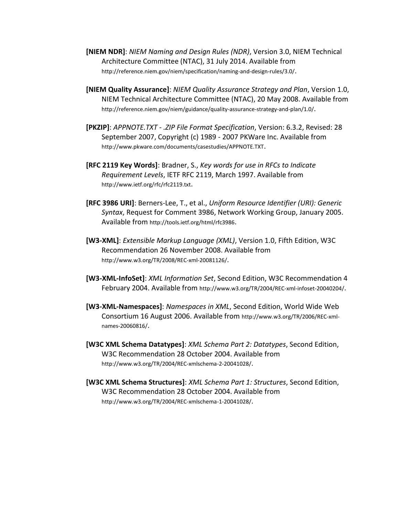- **[NIEM NDR]**: *NIEM Naming and Design Rules (NDR)*, Version 3.0, NIEM Technical Architecture Committee (NTAC), 31 July 2014. Available from <http://reference.niem.gov/niem/specification/naming-and-design-rules/3.0/>.
- **[NIEM Quality Assurance]**: *NIEM Quality Assurance Strategy and Plan*, Version 1.0, NIEM Technical Architecture Committee (NTAC), 20 May 2008. Available from <http://reference.niem.gov/niem/guidance/quality-assurance-strategy-and-plan/1.0/>.
- **[PKZIP]**: *APPNOTE.TXT - .ZIP File Format Specification*, Version: 6.3.2, Revised: 28 September 2007, Copyright (c) 1989 - 2007 PKWare Inc. Available from <http://www.pkware.com/documents/casestudies/APPNOTE.TXT>.
- **[RFC 2119 Key Words]**: Bradner, S., *Key words for use in RFCs to Indicate Requirement Levels*, IETF RFC 2119, March 1997. Available from <http://www.ietf.org/rfc/rfc2119.txt>.
- **[RFC 3986 URI]**: Berners-Lee, T., et al., *Uniform Resource Identifier (URI): Generic Syntax*, Request for Comment 3986, Network Working Group, January 2005. Available from <http://tools.ietf.org/html/rfc3986>.
- **[W3-XML]**: *Extensible Markup Language (XML)*, Version 1.0, Fifth Edition, W3C Recommendation 26 November 2008. Available from <http://www.w3.org/TR/2008/REC-xml-20081126/>.
- **[W3-XML-InfoSet]**: *XML Information Set*, Second Edition, W3C Recommendation 4 February 2004. Available from <http://www.w3.org/TR/2004/REC-xml-infoset-20040204/>.
- **[W3-XML-Namespaces]**: *Namespaces in XML*, Second Edition, World Wide Web Consortium 16 August 2006. Available from [http://www.w3.org/TR/2006/REC-xml](http://www.w3.org/TR/2006/REC-xml-names-20060816/)[names-20060816/](http://www.w3.org/TR/2006/REC-xml-names-20060816/).
- **[W3C XML Schema Datatypes]**: *XML Schema Part 2: Datatypes*, Second Edition, W3C Recommendation 28 October 2004. Available from <http://www.w3.org/TR/2004/REC-xmlschema-2-20041028/>.
- **[W3C XML Schema Structures]**: *XML Schema Part 1: Structures*, Second Edition, W3C Recommendation 28 October 2004. Available from <http://www.w3.org/TR/2004/REC-xmlschema-1-20041028/>.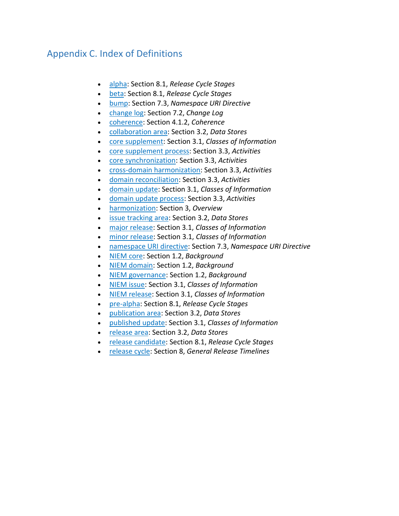## <span id="page-31-0"></span>Appendix C. Index of Definitions

- [alpha:](#page-23-1) Section 8.1, *Release Cycle Stages*
- [beta:](#page-23-2) Section 8.1, *Release Cycle Stages*
- [bump:](#page-21-1) Section 7.3, *Namespace URI Directive*
- [change log:](#page-20-2) Section 7.2, *Change Log*
- [coherence:](#page-13-0) Section 4.1.2, *Coherence*
- [collaboration area:](#page-7-2) Section 3.2, *Data Stores*
- [core supplement:](#page-6-0) Section 3.1, *Classes of Information*
- [core supplement process:](#page-8-1) Section 3.3, *Activities*
- [core synchronization:](#page-8-2) Section 3.3, *Activities*
- [cross-domain harmonization:](#page-8-3) Section 3.3, *Activities*
- [domain reconciliation:](#page-8-4) Section 3.3, *Activities*
- domain [update:](#page-6-1) Section 3.1, *Classes of Information*
- [domain update process:](#page-7-3) Section 3.3, *Activities*
- [harmonization:](#page-4-2) Section 3, *Overview*
- [issue tracking area:](#page-7-4) Section 3.2, *Data Stores*
- [major release:](#page-5-1) Section 3.1, *Classes of Information*
- [minor release:](#page-5-2) Section 3.1, *Classes of Information*
- [namespace URI directive:](#page-22-1) Section 7.3, *Namespace URI Directive*
- [NIEM core:](#page-3-1) Section 1.2, *Background*
- [NIEM domain:](#page-4-3) Section 1.2, *Background*
- [NIEM governance:](#page-3-2) Section 1.2, *Background*
- [NIEM issue:](#page-6-2) Section 3.1, *Classes of Information*
- [NIEM release:](#page-5-3) Section 3.1, *Classes of Information*
- [pre-alpha:](#page-24-1) Section 8.1, *Release Cycle Stages*
- [publication area:](#page-7-5) Section 3.2, *Data Stores*
- [published](#page-6-3) update: Section 3.1, *Classes of Information*
- [release area:](#page-7-6) Section 3.2, *Data Stores*
- [release candidate:](#page-24-2) Section 8.1, *Release Cycle Stages*
- [release cycle:](#page-22-2) Section 8, *General Release Timelines*